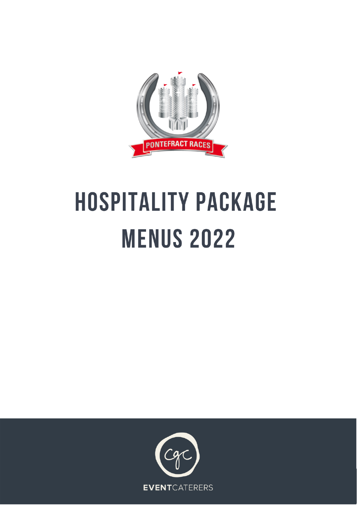

# **HOSPITALITY PACKAGE MENUS 2022**

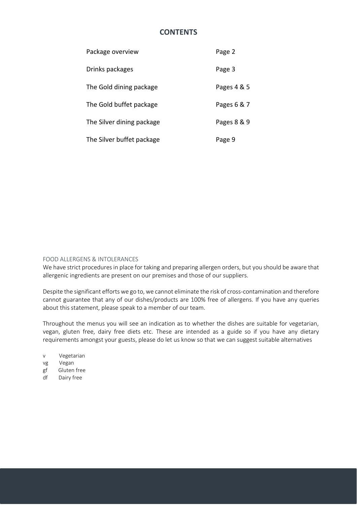# **CONTENTS**

| Package overview          | Page 2      |
|---------------------------|-------------|
| Drinks packages           | Page 3      |
| The Gold dining package   | Pages 4 & 5 |
| The Gold buffet package   | Pages 6 & 7 |
| The Silver dining package | Pages 8 & 9 |
| The Silver buffet package | Page 9      |

#### FOOD ALLERGENS & INTOLERANCES

We have strict procedures in place for taking and preparing allergen orders, but you should be aware that allergenic ingredients are present on our premises and those of our suppliers.

Despite the significant efforts we go to, we cannot eliminate the risk of cross-contamination and therefore cannot guarantee that any of our dishes/products are 100% free of allergens. If you have any queries about this statement, please speak to a member of our team.

Throughout the menus you will see an indication as to whether the dishes are suitable for vegetarian, vegan, gluten free, dairy free diets etc. These are intended as a guide so if you have any dietary requirements amongst your guests, please do let us know so that we can suggest suitable alternatives

- v Vegetarian
- vg Vegan
- gf Gluten free
- df Dairy free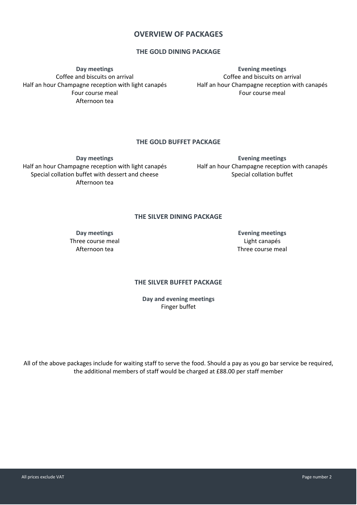# **OVERVIEW OF PACKAGES**

## **THE GOLD DINING PACKAGE**

**Day meetings** Coffee and biscuits on arrival Half an hour Champagne reception with light canapés Four course meal Afternoon tea

**Evening meetings** Coffee and biscuits on arrival Half an hour Champagne reception with canapés Four course meal

## **THE GOLD BUFFET PACKAGE**

**Day meetings** Half an hour Champagne reception with light canapés Special collation buffet with dessert and cheese Afternoon tea

**Evening meetings** Half an hour Champagne reception with canapés Special collation buffet

## **THE SILVER DINING PACKAGE**

**Day meetings** Three course meal Afternoon tea

**Evening meetings** Light canapés Three course meal

## **THE SILVER BUFFET PACKAGE**

**Day and evening meetings** Finger buffet

All of the above packages include for waiting staff to serve the food. Should a pay as you go bar service be required, the additional members of staff would be charged at £88.00 per staff member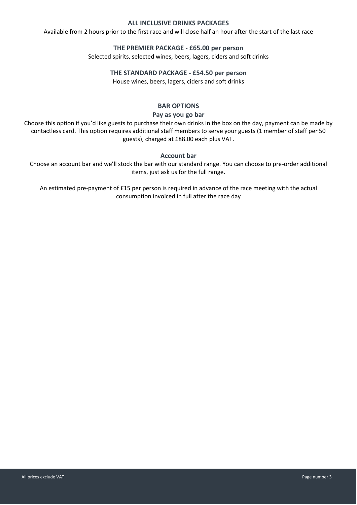## **ALL INCLUSIVE DRINKS PACKAGES**

Available from 2 hours prior to the first race and will close half an hour after the start of the last race

#### **THE PREMIER PACKAGE - £65.00 per person**

Selected spirits, selected wines, beers, lagers, ciders and soft drinks

## **THE STANDARD PACKAGE - £54.50 per person**

House wines, beers, lagers, ciders and soft drinks

## **BAR OPTIONS**

## **Pay as you go bar**

Choose this option if you'd like guests to purchase their own drinks in the box on the day, payment can be made by contactless card. This option requires additional staff members to serve your guests (1 member of staff per 50 guests), charged at £88.00 each plus VAT.

## **Account bar**

Choose an account bar and we'll stock the bar with our standard range. You can choose to pre-order additional items, just ask us for the full range.

An estimated pre-payment of £15 per person is required in advance of the race meeting with the actual consumption invoiced in full after the race day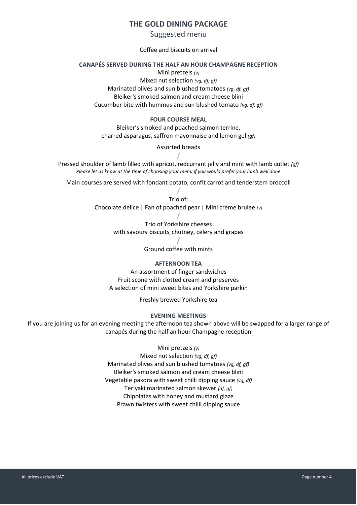# **THE GOLD DINING PACKAGE**

Suggested menu

#### Coffee and biscuits on arrival

#### **CANAPÉS SERVED DURING THE HALF AN HOUR CHAMPAGNE RECEPTION**

Mini pretzels *(v)*

Mixed nut selection *(vg, df, gf)* Marinated olives and sun blushed tomatoes *(vg, df, gf)* Bleiker's smoked salmon and cream cheese blini Cucumber bite with hummus and sun blushed tomato *(vg, df, gf)*

#### **FOUR COURSE MEAL**

Bleiker's smoked and poached salmon terrine, charred asparagus, saffron mayonnaise and lemon gel *(gf)*

## Assorted breads

**/** Pressed shoulder of lamb filled with apricot, redcurrant jelly and mint with lamb cutlet *(gf) Please let us know at the time of choosing your menu if you would prefer your lamb well done*

Main courses are served with fondant potato, confit carrot and tenderstem broccoli

**/** Trio of: Chocolate delice | Fan of poached pear | Mini crème brulee *(v)*

> **/** Trio of Yorkshire cheeses with savoury biscuits, chutney, celery and grapes

> > **/** Ground coffee with mints

#### **AFTERNOON TEA**

An assortment of finger sandwiches Fruit scone with clotted cream and preserves A selection of mini sweet bites and Yorkshire parkin

Freshly brewed Yorkshire tea

#### **EVENING MEETINGS**

If you are joining us for an evening meeting the afternoon tea shown above will be swapped for a larger range of canapés during the half an hour Champagne reception

Mini pretzels *(v)*

Mixed nut selection *(vg, df, gf)* Marinated olives and sun blushed tomatoes *(vg, df, gf)* Bleiker's smoked salmon and cream cheese blini Vegetable pakora with sweet chilli dipping sauce *(vg, df)* Teriyaki marinated salmon skewer *(df, gf)* Chipolatas with honey and mustard glaze Prawn twisters with sweet chilli dipping sauce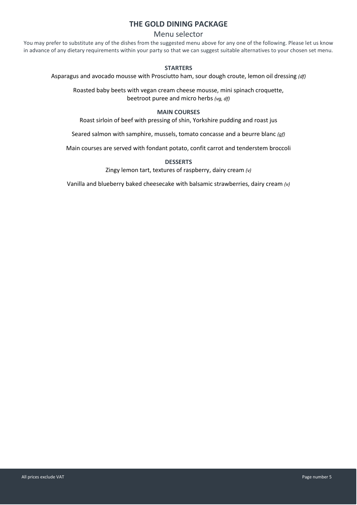# **THE GOLD DINING PACKAGE**

## Menu selector

You may prefer to substitute any of the dishes from the suggested menu above for any one of the following. Please let us know in advance of any dietary requirements within your party so that we can suggest suitable alternatives to your chosen set menu.

#### **STARTERS**

Asparagus and avocado mousse with Prosciutto ham, sour dough croute, lemon oil dressing *(df)*

Roasted baby beets with vegan cream cheese mousse, mini spinach croquette, beetroot puree and micro herbs *(vg, df)*

#### **MAIN COURSES**

Roast sirloin of beef with pressing of shin, Yorkshire pudding and roast jus

Seared salmon with samphire, mussels, tomato concasse and a beurre blanc *(gf)*

Main courses are served with fondant potato, confit carrot and tenderstem broccoli

#### **DESSERTS**

Zingy lemon tart, textures of raspberry, dairy cream *(v)*

Vanilla and blueberry baked cheesecake with balsamic strawberries, dairy cream *(v)*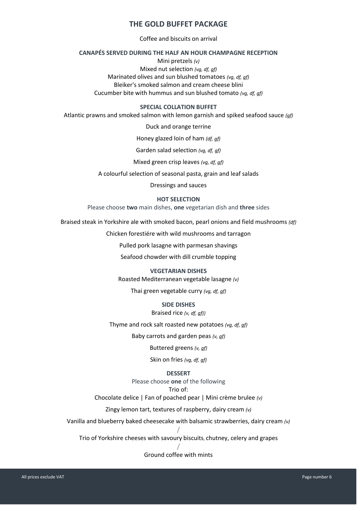# **THE GOLD BUFFET PACKAGE**

Coffee and biscuits on arrival

## **CANAPÉS SERVED DURING THE HALF AN HOUR CHAMPAGNE RECEPTION**

Mini pretzels *(v)* Mixed nut selection *(vg, df, gf)* Marinated olives and sun blushed tomatoes *(vg, df, gf)* Bleiker's smoked salmon and cream cheese blini Cucumber bite with hummus and sun blushed tomato *(vg, df, gf)*

#### **SPECIAL COLLATION BUFFET**

Atlantic prawns and smoked salmon with lemon garnish and spiked seafood sauce *(gf)*

Duck and orange terrine

Honey glazed loin of ham *(df, gf)*

Garden salad selection *(vg, df, gf)*

Mixed green crisp leaves *(vg, df, gf)*

A colourful selection of seasonal pasta, grain and leaf salads

Dressings and sauces

#### **HOT SELECTION**

Please choose **two** main dishes, **one** vegetarian dish and **three** sides

Braised steak in Yorkshire ale with smoked bacon, pearl onions and field mushrooms *(df)*

Chicken forestiére with wild mushrooms and tarragon

Pulled pork lasagne with parmesan shavings

Seafood chowder with dill crumble topping

#### **VEGETARIAN DISHES**

Roasted Mediterranean vegetable lasagne *(v)*

Thai green vegetable curry *(vg, df, gf)*

## **SIDE DISHES**

#### Braised rice *(v, df, gf))*

Thyme and rock salt roasted new potatoes *(vg, df, gf)*

Baby carrots and garden peas *(v, gf)*

Buttered greens *(v, gf)*

Skin on fries *(vg, df, gf)*

## **DESSERT**

Please choose **one** of the following

## Trio of:

Chocolate delice | Fan of poached pear | Mini crème brulee *(v)*

Zingy lemon tart, textures of raspberry, dairy cream *(v)*

Vanilla and blueberry baked cheesecake with balsamic strawberries, dairy cream *(v)*

**/** Trio of Yorkshire cheeses with savoury biscuits, chutney, celery and grapes

#### **/** Ground coffee with mints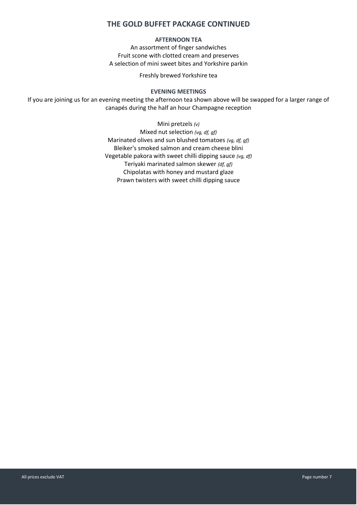# **THE GOLD BUFFET PACKAGE CONTINUED**

# **AFTERNOON TEA**

An assortment of finger sandwiches Fruit scone with clotted cream and preserves A selection of mini sweet bites and Yorkshire parkin

Freshly brewed Yorkshire tea

#### **EVENING MEETINGS**

If you are joining us for an evening meeting the afternoon tea shown above will be swapped for a larger range of canapés during the half an hour Champagne reception

> Mini pretzels *(v)* Mixed nut selection *(vg, df, gf)* Marinated olives and sun blushed tomatoes *(vg, df, gf)* Bleiker's smoked salmon and cream cheese blini Vegetable pakora with sweet chilli dipping sauce *(vg, df)* Teriyaki marinated salmon skewer *(df, gf)* Chipolatas with honey and mustard glaze Prawn twisters with sweet chilli dipping sauce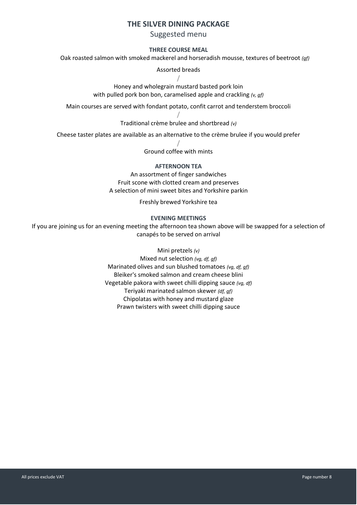# **THE SILVER DINING PACKAGE**

## Suggested menu

## **THREE COURSE MEAL**

Oak roasted salmon with smoked mackerel and horseradish mousse, textures of beetroot *(gf)*

Assorted breads

**/**

Honey and wholegrain mustard basted pork loin with pulled pork bon bon, caramelised apple and crackling *(v, gf)*

Main courses are served with fondant potato, confit carrot and tenderstem broccoli

**/** Traditional crème brulee and shortbread *(v)*

Cheese taster plates are available as an alternative to the crème brulee if you would prefer

**/** Ground coffee with mints

#### **AFTERNOON TEA**

An assortment of finger sandwiches Fruit scone with clotted cream and preserves A selection of mini sweet bites and Yorkshire parkin

Freshly brewed Yorkshire tea

#### **EVENING MEETINGS**

If you are joining us for an evening meeting the afternoon tea shown above will be swapped for a selection of canapés to be served on arrival

#### Mini pretzels *(v)*

Mixed nut selection *(vg, df, gf)* Marinated olives and sun blushed tomatoes *(vg, df, gf)* Bleiker's smoked salmon and cream cheese blini Vegetable pakora with sweet chilli dipping sauce *(vg, df)* Teriyaki marinated salmon skewer *(df, gf)* Chipolatas with honey and mustard glaze Prawn twisters with sweet chilli dipping sauce